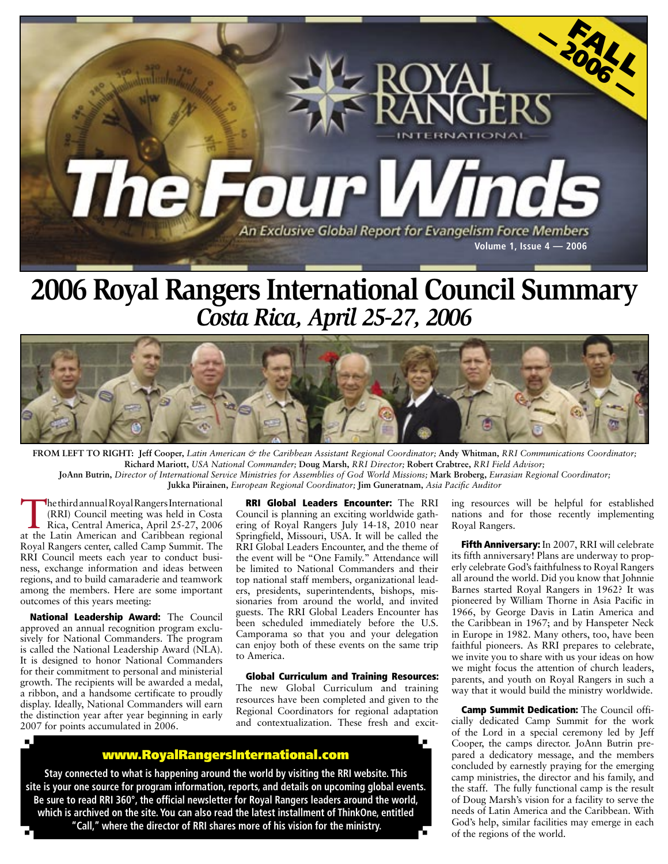

## **2006 Royal Rangers International Council Summary** *Costa Rica, April 25-27, 2006*



**FROM LEFT TO RIGHT:****Jeff Cooper,** *Latin American & the Caribbean Assistant Regional Coordinator;* **Andy Whitman,** *RRI Communications Coordinator;*  **Richard Mariott,** *USA National Commander;* **Doug Marsh,** *RRI Director;* **Robert Crabtree,** *RRI Field Advisor;*  **JoAnn Butrin,** *Director of International Service Ministries for Assemblies of God World Missions;* **Mark Broberg,** *Eurasian Regional Coordinator;*  **Jukka Piirainen,** *European Regional Coordinator;* **Jim Guneratnam,** *Asia Pacific Auditor*

The third annual Royal Rangers International<br>
(RRI) Council meeting was held in Costa<br>
Rica, Central America, April 25-27, 2006<br>
at the Letin American and Ceribbean regional (RRI) Council meeting was held in Costa Rica, Central America, April 25-27, 2006 at the Latin American and Caribbean regional Royal Rangers center, called Camp Summit. The RRI Council meets each year to conduct business, exchange information and ideas between regions, and to build camaraderie and teamwork among the members. Here are some important outcomes of this years meeting:

National Leadership Award: The Council approved an annual recognition program exclusively for National Commanders. The program is called the National Leadership Award (NLA). It is designed to honor National Commanders for their commitment to personal and ministerial growth. The recipients will be awarded a medal, a ribbon, and a handsome certificate to proudly display. Ideally, National Commanders will earn the distinction year after year beginning in early 2007 for points accumulated in 2006.

RRI Global Leaders Encounter: The RRI Council is planning an exciting worldwide gathering of Royal Rangers July 14-18, 2010 near Springfield, Missouri, USA. It will be called the RRI Global Leaders Encounter, and the theme of the event will be "One Family." Attendance will be limited to National Commanders and their top national staff members, organizational leaders, presidents, superintendents, bishops, missionaries from around the world, and invited guests. The RRI Global Leaders Encounter has been scheduled immediately before the U.S. Camporama so that you and your delegation can enjoy both of these events on the same trip to America.

Global Curriculum and Training Resources: The new Global Curriculum and training resources have been completed and given to the Regional Coordinators for regional adaptation and contextualization. These fresh and excit-

## <www.RoyalRangersInternational.com>

**Stay connected to what is happening around the world by visiting the RRI website. This site is your one source for program information, reports, and details on upcoming global events. Be sure to read RRI 360°, the official newsletter for Royal Rangers leaders around the world, which is archived on the site. You can also read the latest installment of ThinkOne, entitled "Call," where the director of RRI shares more of his vision for the ministry.**

ing resources will be helpful for established nations and for those recently implementing Royal Rangers.

Fifth Anniversary: In 2007, RRI will celebrate its fifth anniversary! Plans are underway to properly celebrate God's faithfulness to Royal Rangers all around the world. Did you know that Johnnie Barnes started Royal Rangers in 1962? It was pioneered by William Thorne in Asia Pacific in 1966, by George Davis in Latin America and the Caribbean in 1967; and by Hanspeter Neck in Europe in 1982. Many others, too, have been faithful pioneers. As RRI prepares to celebrate, we invite you to share with us your ideas on how we might focus the attention of church leaders, parents, and youth on Royal Rangers in such a way that it would build the ministry worldwide.

Camp Summit Dedication: The Council officially dedicated Camp Summit for the work of the Lord in a special ceremony led by Jeff Cooper, the camps director. JoAnn Butrin prepared a dedicatory message, and the members concluded by earnestly praying for the emerging camp ministries, the director and his family, and the staff. The fully functional camp is the result of Doug Marsh's vision for a facility to serve the needs of Latin America and the Caribbean. With God's help, similar facilities may emerge in each of the regions of the world.